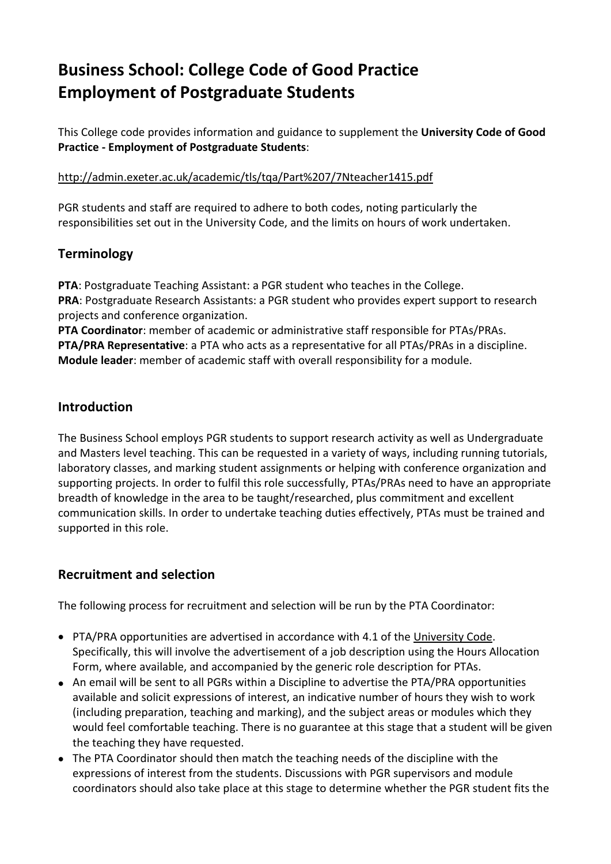# **Business School: College Code of Good Practice Employment of Postgraduate Students**

This College code provides information and guidance to supplement the **University Code of Good Practice - Employment of Postgraduate Students**:

<http://admin.exeter.ac.uk/academic/tls/tqa/Part%207/7Nteacher1415.pdf>

PGR students and staff are required to adhere to both codes, noting particularly the responsibilities set out in the University Code, and the limits on hours of work undertaken.

# **Terminology**

**PTA**: Postgraduate Teaching Assistant: a PGR student who teaches in the College. **PRA**: Postgraduate Research Assistants: a PGR student who provides expert support to research projects and conference organization.

**PTA Coordinator**: member of academic or administrative staff responsible for PTAs/PRAs. **PTA/PRA Representative**: a PTA who acts as a representative for all PTAs/PRAs in a discipline. **Module leader**: member of academic staff with overall responsibility for a module.

# **Introduction**

The Business School employs PGR students to support research activity as well as Undergraduate and Masters level teaching. This can be requested in a variety of ways, including running tutorials, laboratory classes, and marking student assignments or helping with conference organization and supporting projects. In order to fulfil this role successfully, PTAs/PRAs need to have an appropriate breadth of knowledge in the area to be taught/researched, plus commitment and excellent communication skills. In order to undertake teaching duties effectively, PTAs must be trained and supported in this role.

# **Recruitment and selection**

The following process for recruitment and selection will be run by the PTA Coordinator:

- PTA/PRA opportunities are advertised in accordance with 4.1 of the [University](http://admin.exeter.ac.uk/academic/tls/tqa/Part%207/7Nteacher1415.pdf) Code. Specifically, this will involve the advertisement of a job description using the Hours Allocation Form, where available, and accompanied by the generic role description for PTAs.
- An email will be sent to all PGRs within a Discipline to advertise the PTA/PRA opportunities available and solicit expressions of interest, an indicative number of hours they wish to work (including preparation, teaching and marking), and the subject areas or modules which they would feel comfortable teaching. There is no guarantee at this stage that a student will be given the teaching they have requested.
- The PTA Coordinator should then match the teaching needs of the discipline with the expressions of interest from the students. Discussions with PGR supervisors and module coordinators should also take place at this stage to determine whether the PGR student fits the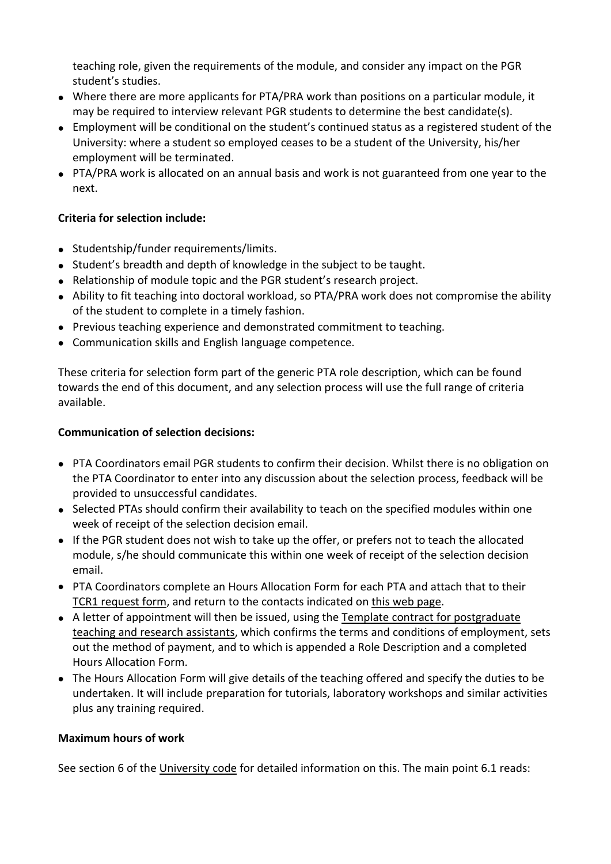teaching role, given the requirements of the module, and consider any impact on the PGR student's studies.

- Where there are more applicants for PTA/PRA work than positions on a particular module, it may be required to interview relevant PGR students to determine the best candidate(s).
- Employment will be conditional on the student's continued status as a registered student of the University: where a student so employed ceases to be a student of the University, his/her employment will be terminated.
- PTA/PRA work is allocated on an annual basis and work is not guaranteed from one year to the next.

### **Criteria for selection include:**

- Studentship/funder requirements/limits.
- Student's breadth and depth of knowledge in the subject to be taught.
- Relationship of module topic and the PGR student's research project.
- Ability to fit teaching into doctoral workload, so PTA/PRA work does not compromise the ability of the student to complete in a timely fashion.
- Previous teaching experience and demonstrated commitment to teaching.
- Communication skills and English language competence.

These criteria for selection form part of the generic PTA role description, which can be found towards the end of this document, and any selection process will use the full range of criteria available.

#### **Communication of selection decisions:**

- PTA Coordinators email PGR students to confirm their decision. Whilst there is no obligation on the PTA Coordinator to enter into any discussion about the selection process, feedback will be provided to unsuccessful candidates.
- Selected PTAs should confirm their availability to teach on the specified modules within one week of receipt of the selection decision email.
- If the PGR student does not wish to take up the offer, or prefers not to teach the allocated module, s/he should communicate this within one week of receipt of the selection decision email.
- PTA Coordinators complete an Hours Allocation Form for each PTA and attach that to their TCR1 [request](http://intranet.exeter.ac.uk/business-school/staff/hr/employment/) form, and return to the contacts indicated on this web [page.](http://intranet.exeter.ac.uk/business-school/staff/hr/employment/)
- A letter of appointment will then be issued, using the Template contract for [postgraduate](http://www.exeter.ac.uk/media/universityofexeter/humanresources/documents/payroll/claims/PTA-PRA_Contract.doc) teaching and research [assistants,](http://www.exeter.ac.uk/media/universityofexeter/humanresources/documents/payroll/claims/PTA-PRA_Contract.doc) which confirms the terms and conditions of employment, sets out the method of payment, and to which is appended a Role Description and a completed Hours Allocation Form.
- The Hours Allocation Form will give details of the teaching offered and specify the duties to be undertaken. It will include preparation for tutorials, laboratory workshops and similar activities plus any training required.

#### **Maximum hours of work**

See section 6 of the [University](http://admin.exeter.ac.uk/academic/tls/tqa/Part%207/7Nteacher1415.pdf) code for detailed information on this. The main point 6.1 reads: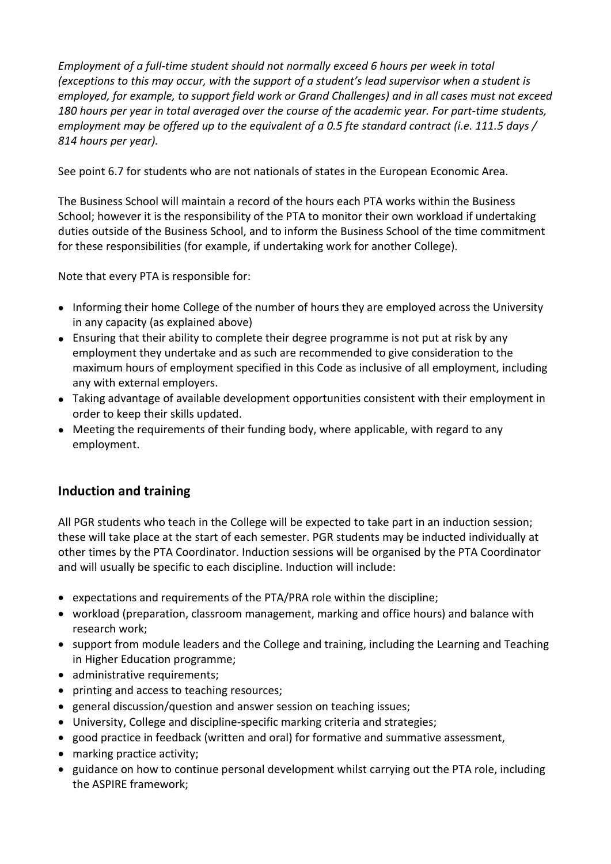*Employment of a full-time student should not normally exceed 6 hours per week in total* (exceptions to this may occur, with the support of a student's lead supervisor when a student is *employed, for example, to support field work or Grand Challenges) and in all cases must not exceed 180 hours per year in total averaged over the course of the academic year. For part-time students, employment may be offered up to the equivalent of a 0.5 fte standard contract (i.e. 111.5 days / 814 hours per year).*

See point 6.7 for students who are not nationals of states in the European Economic Area.

The Business School will maintain a record of the hours each PTA works within the Business School; however it is the responsibility of the PTA to monitor their own workload if undertaking duties outside of the Business School, and to inform the Business School of the time commitment for these responsibilities (for example, if undertaking work for another College).

Note that every PTA is responsible for:

- Informing their home College of the number of hours they are employed across the University in any capacity (as explained above)
- Ensuring that their ability to complete their degree programme is not put at risk by any employment they undertake and as such are recommended to give consideration to the maximum hours of employment specified in this Code as inclusive of all employment, including any with external employers.
- Taking advantage of available development opportunities consistent with their employment in order to keep their skills updated.
- Meeting the requirements of their funding body, where applicable, with regard to any employment.

# **Induction and training**

All PGR students who teach in the College will be expected to take part in an induction session; these will take place at the start of each semester. PGR students may be inducted individually at other times by the PTA Coordinator. Induction sessions will be organised by the PTA Coordinator and will usually be specific to each discipline. Induction will include:

- expectations and requirements of the PTA/PRA role within the discipline;
- workload (preparation, classroom management, marking and office hours) and balance with research work;
- support from module leaders and the College and training, including the Learning and Teaching in Higher Education programme;
- administrative requirements;
- printing and access to teaching resources;
- general discussion/question and answer session on teaching issues;
- University, College and discipline-specific marking criteria and strategies;
- good practice in feedback (written and oral) for formative and summative assessment,
- marking practice activity;
- guidance on how to continue personal development whilst carrying out the PTA role, including the ASPIRE framework;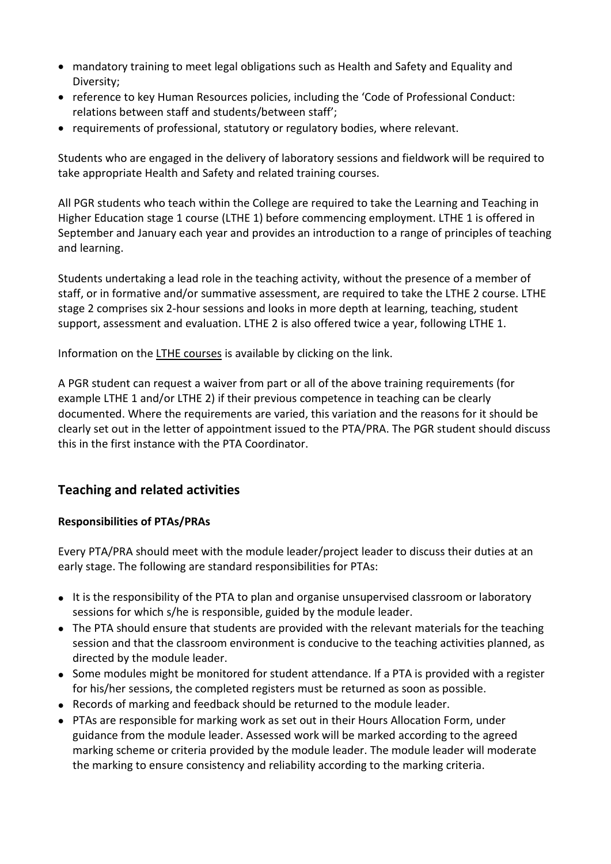- mandatory training to meet legal obligations such as Health and Safety and Equality and Diversity;
- reference to key Human Resources policies, including the 'Code of Professional Conduct: relations between staff and students/between staff';
- requirements of professional, statutory or regulatory bodies, where relevant.

Students who are engaged in the delivery of laboratory sessions and fieldwork will be required to take appropriate Health and Safety and related training courses.

All PGR students who teach within the College are required to take the Learning and Teaching in Higher Education stage 1 course (LTHE 1) before commencing employment. LTHE 1 is offered in September and January each year and provides an introduction to a range of principles of teaching and learning.

Students undertaking a lead role in the teaching activity, without the presence of a member of staff, or in formative and/or summative assessment, are required to take the LTHE 2 course. LTHE stage 2 comprises six 2-hour sessions and looks in more depth at learning, teaching, student support, assessment and evaluation. LTHE 2 is also offered twice a year, following LTHE 1.

Information on the LTHE [courses](http://as.exeter.ac.uk/lthe/) is available by clicking on the link.

A PGR student can request a waiver from part or all of the above training requirements (for example LTHE 1 and/or LTHE 2) if their previous competence in teaching can be clearly documented. Where the requirements are varied, this variation and the reasons for it should be clearly set out in the letter of appointment issued to the PTA/PRA. The PGR student should discuss this in the first instance with the PTA Coordinator.

# **Teaching and related activities**

#### **Responsibilities of PTAs/PRAs**

Every PTA/PRA should meet with the module leader/project leader to discuss their duties at an early stage. The following are standard responsibilities for PTAs:

- It is the responsibility of the PTA to plan and organise unsupervised classroom or laboratory sessions for which s/he is responsible, guided by the module leader.
- The PTA should ensure that students are provided with the relevant materials for the teaching session and that the classroom environment is conducive to the teaching activities planned, as directed by the module leader.
- Some modules might be monitored for student attendance. If a PTA is provided with a register for his/her sessions, the completed registers must be returned as soon as possible.
- Records of marking and feedback should be returned to the module leader.
- PTAs are responsible for marking work as set out in their Hours Allocation Form, under guidance from the module leader. Assessed work will be marked according to the agreed marking scheme or criteria provided by the module leader. The module leader will moderate the marking to ensure consistency and reliability according to the marking criteria.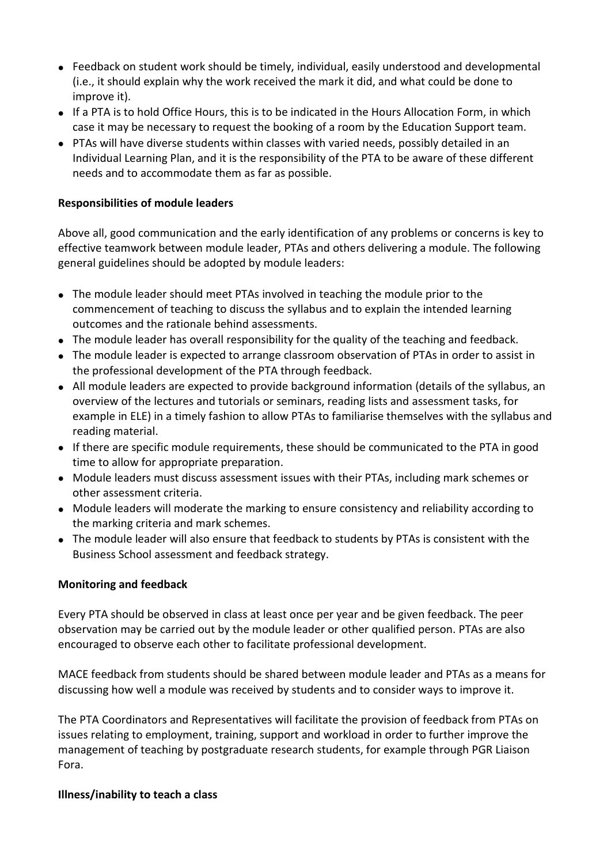- Feedback on student work should be timely, individual, easily understood and developmental (i.e., it should explain why the work received the mark it did, and what could be done to improve it).
- If a PTA is to hold Office Hours, this is to be indicated in the Hours Allocation Form, in which case it may be necessary to request the booking of a room by the Education Support team.
- PTAs will have diverse students within classes with varied needs, possibly detailed in an Individual Learning Plan, and it is the responsibility of the PTA to be aware of these different needs and to accommodate them as far as possible.

#### **Responsibilities of module leaders**

Above all, good communication and the early identification of any problems or concerns is key to effective teamwork between module leader, PTAs and others delivering a module. The following general guidelines should be adopted by module leaders:

- The module leader should meet PTAs involved in teaching the module prior to the commencement of teaching to discuss the syllabus and to explain the intended learning outcomes and the rationale behind assessments.
- The module leader has overall responsibility for the quality of the teaching and feedback.
- The module leader is expected to arrange classroom observation of PTAs in order to assist in the professional development of the PTA through feedback.
- All module leaders are expected to provide background information (details of the syllabus, an overview of the lectures and tutorials or seminars, reading lists and assessment tasks, for example in ELE) in a timely fashion to allow PTAs to familiarise themselves with the syllabus and reading material.
- If there are specific module requirements, these should be communicated to the PTA in good time to allow for appropriate preparation.
- Module leaders must discuss assessment issues with their PTAs, including mark schemes or other assessment criteria.
- Module leaders will moderate the marking to ensure consistency and reliability according to the marking criteria and mark schemes.
- The module leader will also ensure that feedback to students by PTAs is consistent with the Business School assessment and feedback strategy.

#### **Monitoring and feedback**

Every PTA should be observed in class at least once per year and be given feedback. The peer observation may be carried out by the module leader or other qualified person. PTAs are also encouraged to observe each other to facilitate professional development.

MACE feedback from students should be shared between module leader and PTAs as a means for discussing how well a module was received by students and to consider ways to improve it.

The PTA Coordinators and Representatives will facilitate the provision of feedback from PTAs on issues relating to employment, training, support and workload in order to further improve the management of teaching by postgraduate research students, for example through PGR Liaison Fora.

#### **Illness/inability to teach a class**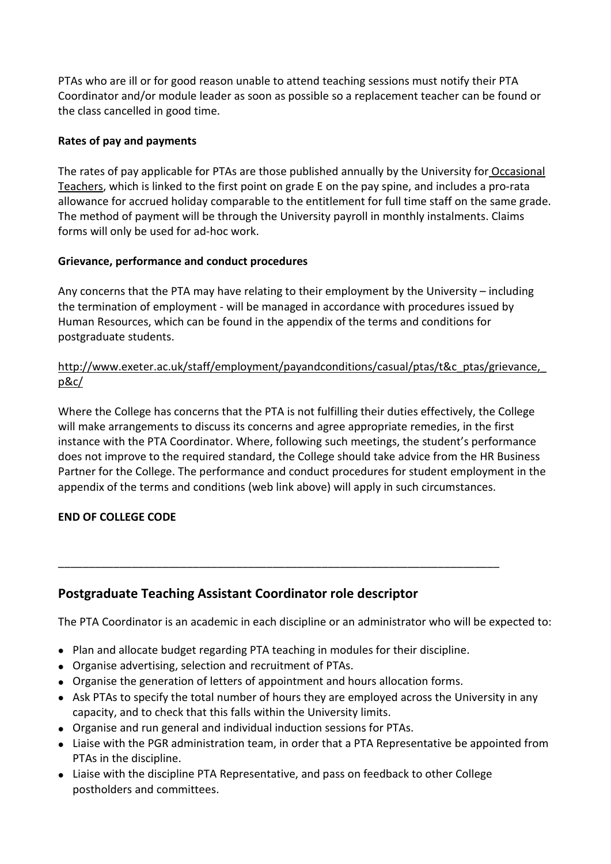PTAs who are ill or for good reason unable to attend teaching sessions must notify their PTA Coordinator and/or module leader as soon as possible so a replacement teacher can be found or the class cancelled in good time.

### **Rates of pay and payments**

The rates of pay applicable for PTAs are those published annually by the University for [Occasional](http://www.exeter.ac.uk/staff/employment/payandconditions/casual/managers/ratesofpay/) [Teachers,](http://www.exeter.ac.uk/staff/employment/payandconditions/casual/managers/ratesofpay/) which is linked to the first point on grade E on the pay spine, and includes a pro-rata allowance for accrued holiday comparable to the entitlement for full time staff on the same grade. The method of payment will be through the University payroll in monthly instalments. Claims forms will only be used for ad-hoc work.

### **Grievance, performance and conduct procedures**

Any concerns that the PTA may have relating to their employment by the University – including the termination of employment - will be managed in accordance with procedures issued by Human Resources, which can be found in the appendix of the terms and conditions for postgraduate students.

### [http://www.exeter.ac.uk/staff/employment/payandconditions/casual/ptas/t&c\\_ptas/grievance,\\_](http://www.exeter.ac.uk/staff/employment/payandconditions/casual/ptas/t&c_ptas/grievance,_p&c/) [p&c/](http://www.exeter.ac.uk/staff/employment/payandconditions/casual/ptas/t&c_ptas/grievance,_p&c/)

Where the College has concerns that the PTA is not fulfilling their duties effectively, the College will make arrangements to discuss its concerns and agree appropriate remedies, in the first instance with the PTA Coordinator. Where, following such meetings, the student's performance does not improve to the required standard, the College should take advice from the HR Business Partner for the College. The performance and conduct procedures for student employment in the appendix of the terms and conditions (web link above) will apply in such circumstances.

### **END OF COLLEGE CODE**

# **Postgraduate Teaching Assistant Coordinator role descriptor**

The PTA Coordinator is an academic in each discipline or an administrator who will be expected to:

• Plan and allocate budget regarding PTA teaching in modules for their discipline.

\_\_\_\_\_\_\_\_\_\_\_\_\_\_\_\_\_\_\_\_\_\_\_\_\_\_\_\_\_\_\_\_\_\_\_\_\_\_\_\_\_\_\_\_\_\_\_\_\_\_\_\_\_\_\_\_\_\_\_\_\_\_\_\_\_\_\_\_\_\_\_\_

- Organise advertising, selection and recruitment of PTAs.
- Organise the generation of letters of appointment and hours allocation forms.
- Ask PTAs to specify the total number of hours they are employed across the University in any capacity, and to check that this falls within the University limits.
- Organise and run general and individual induction sessions for PTAs.
- Liaise with the PGR administration team, in order that a PTA Representative be appointed from PTAs in the discipline.
- Liaise with the discipline PTA Representative, and pass on feedback to other College postholders and committees.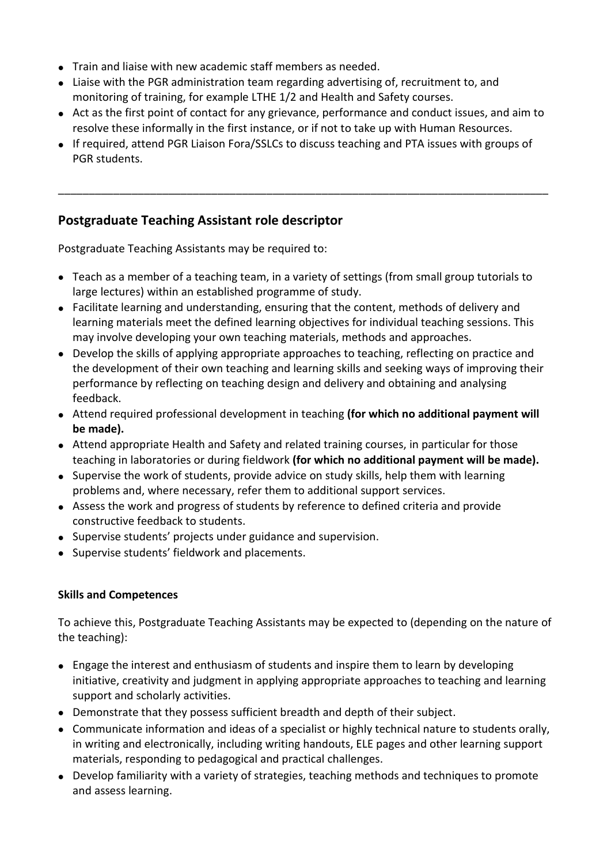- Train and liaise with new academic staff members as needed.
- Liaise with the PGR administration team regarding advertising of, recruitment to, and monitoring of training, for example LTHE 1/2 and Health and Safety courses.
- Act as the first point of contact for any grievance, performance and conduct issues, and aim to resolve these informally in the first instance, or if not to take up with Human Resources.

\_\_\_\_\_\_\_\_\_\_\_\_\_\_\_\_\_\_\_\_\_\_\_\_\_\_\_\_\_\_\_\_\_\_\_\_\_\_\_\_\_\_\_\_\_\_\_\_\_\_\_\_\_\_\_\_\_\_\_\_\_\_\_\_\_\_\_\_\_\_\_\_\_\_\_\_\_\_\_\_

 If required, attend PGR Liaison Fora/SSLCs to discuss teaching and PTA issues with groups of PGR students.

# **Postgraduate Teaching Assistant role descriptor**

Postgraduate Teaching Assistants may be required to:

- Teach as a member of a teaching team, in a variety of settings (from small group tutorials to large lectures) within an established programme of study.
- Facilitate learning and understanding, ensuring that the content, methods of delivery and learning materials meet the defined learning objectives for individual teaching sessions. This may involve developing your own teaching materials, methods and approaches.
- Develop the skills of applying appropriate approaches to teaching, reflecting on practice and the development of their own teaching and learning skills and seeking ways of improving their performance by reflecting on teaching design and delivery and obtaining and analysing feedback.
- Attend required professional development in teaching **(for which no additional payment will be made).**
- Attend appropriate Health and Safety and related training courses, in particular for those teaching in laboratories or during fieldwork **(for which no additional payment will be made).**
- Supervise the work of students, provide advice on study skills, help them with learning problems and, where necessary, refer them to additional support services.
- Assess the work and progress of students by reference to defined criteria and provide constructive feedback to students.
- Supervise students' projects under guidance and supervision.
- Supervise students' fieldwork and placements.

### **Skills and Competences**

To achieve this, Postgraduate Teaching Assistants may be expected to (depending on the nature of the teaching):

- Engage the interest and enthusiasm of students and inspire them to learn by developing initiative, creativity and judgment in applying appropriate approaches to teaching and learning support and scholarly activities.
- Demonstrate that they possess sufficient breadth and depth of their subject.
- Communicate information and ideas of a specialist or highly technical nature to students orally, in writing and electronically, including writing handouts, ELE pages and other learning support materials, responding to pedagogical and practical challenges.
- Develop familiarity with a variety of strategies, teaching methods and techniques to promote and assess learning.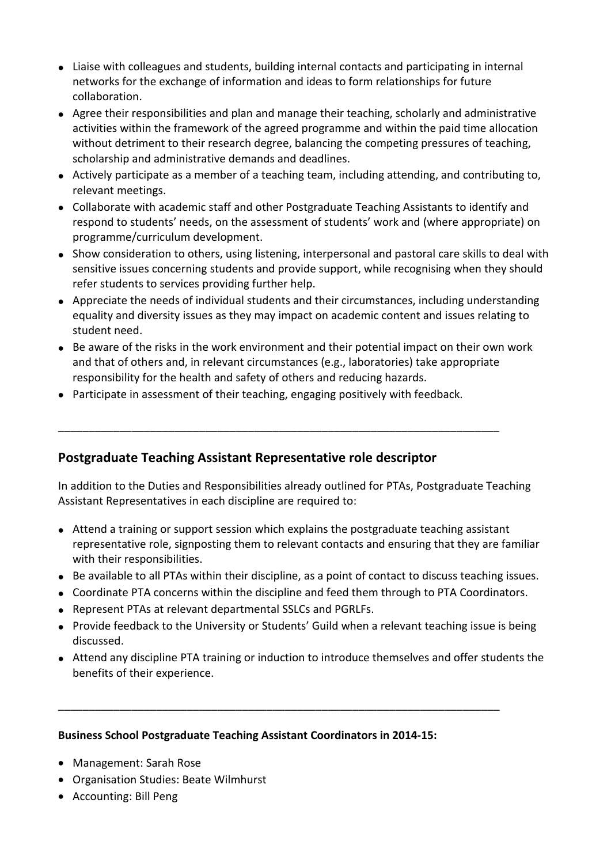- Liaise with colleagues and students, building internal contacts and participating in internal networks for the exchange of information and ideas to form relationships for future collaboration.
- Agree their responsibilities and plan and manage their teaching, scholarly and administrative activities within the framework of the agreed programme and within the paid time allocation without detriment to their research degree, balancing the competing pressures of teaching, scholarship and administrative demands and deadlines.
- Actively participate as a member of a teaching team, including attending, and contributing to, relevant meetings.
- Collaborate with academic staff and other Postgraduate Teaching Assistants to identify and respond to students' needs, on the assessment of students' work and (where appropriate) on programme/curriculum development.
- Show consideration to others, using listening, interpersonal and pastoral care skills to deal with sensitive issues concerning students and provide support, while recognising when they should refer students to services providing further help.
- Appreciate the needs of individual students and their circumstances, including understanding equality and diversity issues as they may impact on academic content and issues relating to student need.
- Be aware of the risks in the work environment and their potential impact on their own work and that of others and, in relevant circumstances (e.g., laboratories) take appropriate responsibility for the health and safety of others and reducing hazards.
- Participate in assessment of their teaching, engaging positively with feedback.

\_\_\_\_\_\_\_\_\_\_\_\_\_\_\_\_\_\_\_\_\_\_\_\_\_\_\_\_\_\_\_\_\_\_\_\_\_\_\_\_\_\_\_\_\_\_\_\_\_\_\_\_\_\_\_\_\_\_\_\_\_\_\_\_\_\_\_\_\_\_\_\_

### **Postgraduate Teaching Assistant Representative role descriptor**

In addition to the Duties and Responsibilities already outlined for PTAs, Postgraduate Teaching Assistant Representatives in each discipline are required to:

- Attend a training or support session which explains the postgraduate teaching assistant representative role, signposting them to relevant contacts and ensuring that they are familiar with their responsibilities.
- Be available to all PTAs within their discipline, as a point of contact to discuss teaching issues.
- Coordinate PTA concerns within the discipline and feed them through to PTA Coordinators.
- Represent PTAs at relevant departmental SSLCs and PGRLFs.
- Provide feedback to the University or Students' Guild when a relevant teaching issue is being discussed.
- Attend any discipline PTA training or induction to introduce themselves and offer students the benefits of their experience.

\_\_\_\_\_\_\_\_\_\_\_\_\_\_\_\_\_\_\_\_\_\_\_\_\_\_\_\_\_\_\_\_\_\_\_\_\_\_\_\_\_\_\_\_\_\_\_\_\_\_\_\_\_\_\_\_\_\_\_\_\_\_\_\_\_\_\_\_\_\_\_\_

#### **Business School Postgraduate Teaching Assistant Coordinators in 2014-15:**

- Management: Sarah Rose
- Organisation Studies: Beate Wilmhurst
- Accounting: Bill Peng